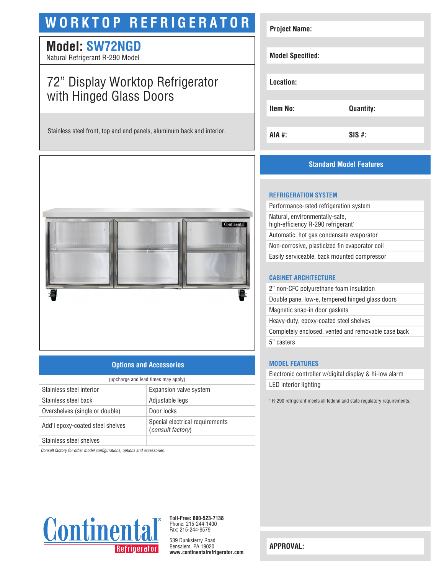# **WORKTOP REFRIGERATOR**

## **Model: SW72NGD**

Natural Refrigerant R-290 Model

# 72" Display Worktop Refrigerator with Hinged Glass Doors

Stainless steel front, top and end panels, aluminum back and interior.



### **Options and Accessories**

| (upcharge and lead times may apply) |                                                             |  |
|-------------------------------------|-------------------------------------------------------------|--|
| Stainless steel interior            | Expansion valve system                                      |  |
| Stainless steel back                | Adjustable legs                                             |  |
| Overshelves (single or double)      | Door locks                                                  |  |
| Add'l epoxy-coated steel shelves    | Special electrical requirements<br><i>(consult factory)</i> |  |
| Stainless steel shelves             |                                                             |  |

*Consult factory for other model configurations, options and accessories.*



**Toll-Free: 800-523-7138** Phone: 215-244-1400 Fax: 215-244-9579

539 Dunksferry Road Bensalem, PA 19020 **www.continentalrefrigerator.com** 

| <b>Project Name:</b>    |                  |
|-------------------------|------------------|
| <b>Model Specified:</b> |                  |
| Location:               |                  |
| Item No:                | <b>Quantity:</b> |
| AIA #:                  | <b>SIS#:</b>     |

### **Standard Model Features**

#### **REFRIGERATION SYSTEM**

Performance-rated refrigeration system Natural, environmentally-safe, high-efficiency R-290 refrigerant<sup>1</sup> Automatic, hot gas condensate evaporator Non-corrosive, plasticized fin evaporator coil Easily serviceable, back mounted compressor

#### **CABINET ARCHITECTURE**

2" non-CFC polyurethane foam insulation Double pane, low-e, tempered hinged glass doors Magnetic snap-in door gaskets Heavy-duty, epoxy-coated steel shelves Completely enclosed, vented and removable case back 5" casters

#### **MODEL FEATURES**

Electronic controller w/digital display & hi-low alarm LED interior lighting

<sup>1</sup> R-290 refrigerant meets all federal and state regulatory requirements.

**APPROVAL:**